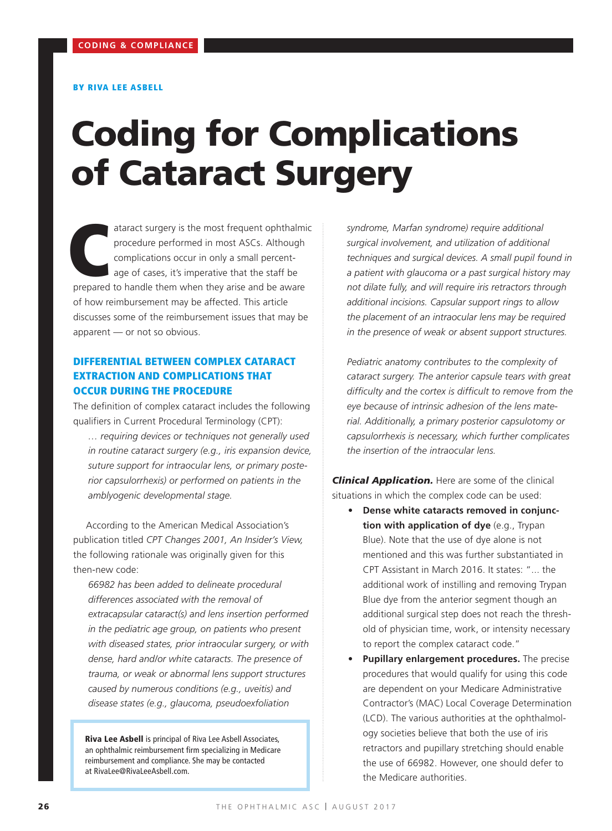#### BY RIVA LEE ASBELL

# Coding for Complications of Cataract Surgery

ataract surgery is the most frequent ophthalmi procedure performed in most ASCs. Although complications occur in only a small percent-<br>age of cases, it's imperative that the staff be prepared to handle them when they arise ataract surgery is the most frequent ophthalmic procedure performed in most ASCs. Although complications occur in only a small percentage of cases, it's imperative that the staff be of how reimbursement may be affected. This article discusses some of the reimbursement issues that may be apparent — or not so obvious.

# DIFFERENTIAL BETWEEN COMPLEX CATARACT EXTRACTION AND COMPLICATIONS THAT OCCUR DURING THE PROCEDURE

The definition of complex cataract includes the following qualifiers in Current Procedural Terminology (CPT):

*… requiring devices or techniques not generally used in routine cataract surgery (e.g., iris expansion device, suture support for intraocular lens, or primary posterior capsulorrhexis) or performed on patients in the amblyogenic developmental stage.*

According to the American Medical Association's publication titled *CPT Changes 2001, An Insider's View,* the following rationale was originally given for this then-new code:

*66982 has been added to delineate procedural differences associated with the removal of extracapsular cataract(s) and lens insertion performed in the pediatric age group, on patients who present with diseased states, prior intraocular surgery, or with dense, hard and/or white cataracts. The presence of trauma, or weak or abnormal lens support structures caused by numerous conditions (e.g., uveitis) and disease states (e.g., glaucoma, pseudoexfoliation* 

Riva Lee Asbell is principal of Riva Lee Asbell Associates, an ophthalmic reimbursement firm specializing in Medicare reimbursement and compliance. She may be contacted at RivaLee@RivaLeeAsbell.com.

*syndrome, Marfan syndrome) require additional surgical involvement, and utilization of additional techniques and surgical devices. A small pupil found in a patient with glaucoma or a past surgical history may not dilate fully, and will require iris retractors through additional incisions. Capsular support rings to allow the placement of an intraocular lens may be required in the presence of weak or absent support structures.*

*Pediatric anatomy contributes to the complexity of cataract surgery. The anterior capsule tears with great difficulty and the cortex is difficult to remove from the eye because of intrinsic adhesion of the lens material. Additionally, a primary posterior capsulotomy or capsulorrhexis is necessary, which further complicates the insertion of the intraocular lens.*

*Clinical Application.* Here are some of the clinical situations in which the complex code can be used:

- **• Dense white cataracts removed in conjunction with application of dye** (e.g., Trypan Blue). Note that the use of dye alone is not mentioned and this was further substantiated in CPT Assistant in March 2016. It states: "... the additional work of instilling and removing Trypan Blue dye from the anterior segment though an additional surgical step does not reach the threshold of physician time, work, or intensity necessary to report the complex cataract code."
- **• Pupillary enlargement procedures.** The precise procedures that would qualify for using this code are dependent on your Medicare Administrative Contractor's (MAC) Local Coverage Determination (LCD). The various authorities at the ophthalmology societies believe that both the use of iris retractors and pupillary stretching should enable the use of 66982. However, one should defer to the Medicare authorities.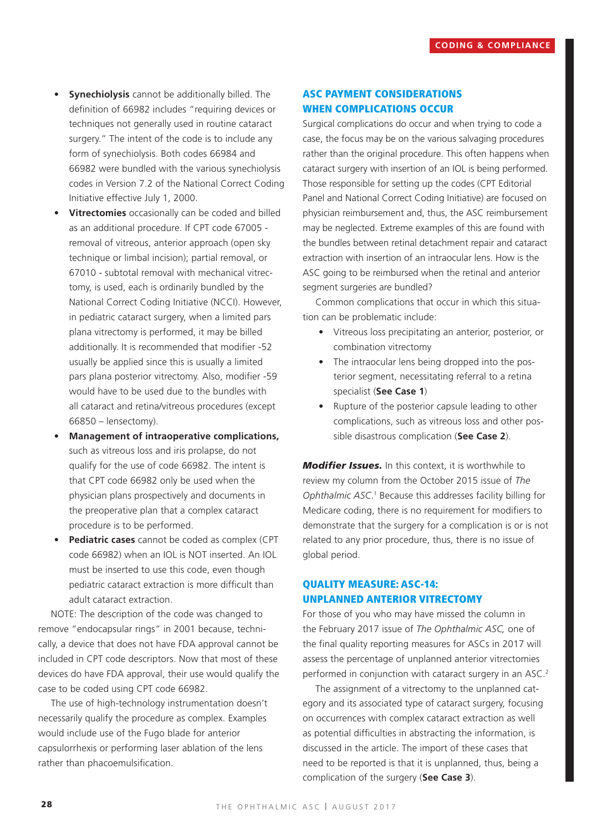- **• Synechiolysis** cannot be additionally billed. The definition of 66982 includes "requiring devices or techniques not generally used in routine cataract surgery." The intent of the code is to include any form of synechiolysis. Both codes 66984 and 66982 were bundled with the various synechiolysis codes in Version 7.2 of the National Correct Coding Initiative effective July 1, 2000.
- **• Vitrectomies** occasionally can be coded and billed as an additional procedure. If CPT code 67005 removal of vitreous, anterior approach (open sky technique or limbal incision); partial removal, or 67010 - subtotal removal with mechanical vitrectomy, is used, each is ordinarily bundled by the National Correct Coding Initiative (NCCI). However, in pediatric cataract surgery, when a limited pars plana vitrectomy is performed, it may be billed additionally. It is recommended that modifier -52 usually be applied since this is usually a limited pars plana posterior vitrectomy. Also, modifier -59 would have to be used due to the bundles with all cataract and retina/vitreous procedures (except 66850 – lensectomy).
- **• Management of intraoperative complications,** such as vitreous loss and iris prolapse, do not qualify for the use of code 66982. The intent is that CPT code 66982 only be used when the physician plans prospectively and documents in the preoperative plan that a complex cataract procedure is to be performed.
- **• Pediatric cases** cannot be coded as complex (CPT code 66982) when an IOL is NOT inserted. An IOL must be inserted to use this code, even though pediatric cataract extraction is more difficult than adult cataract extraction.

NOTE: The description of the code was changed to remove "endocapsular rings" in 2001 because, technically, a device that does not have FDA approval cannot be included in CPT code descriptors. Now that most of these devices do have FDA approval, their use would qualify the case to be coded using CPT code 66982.

The use of high-technology instrumentation doesn't necessarily qualify the procedure as complex. Examples would include use of the Fugo blade for anterior capsulorrhexis or performing laser ablation of the lens rather than phacoemulsification.

# ASC PAYMENT CONSIDERATIONS WHEN COMPLICATIONS OCCUR

Surgical complications do occur and when trying to code a case, the focus may be on the various salvaging procedures rather than the original procedure. This often happens when cataract surgery with insertion of an IOL is being performed. Those responsible for setting up the codes (CPT Editorial Panel and National Correct Coding Initiative) are focused on physician reimbursement and, thus, the ASC reimbursement may be neglected. Extreme examples of this are found with the bundles between retinal detachment repair and cataract extraction with insertion of an intraocular lens. How is the ASC going to be reimbursed when the retinal and anterior segment surgeries are bundled?

Common complications that occur in which this situation can be problematic include:

- Vitreous loss precipitating an anterior, posterior, or combination vitrectomy
- The intraocular lens being dropped into the posterior segment, necessitating referral to a retina specialist (**See Case 1**)
- Rupture of the posterior capsule leading to other complications, such as vitreous loss and other possible disastrous complication (**See Case 2**).

*Modifier Issues.* In this context, it is worthwhile to review my column from the October 2015 issue of *The*  Ophthalmic ASC.<sup>1</sup> Because this addresses facility billing for Medicare coding, there is no requirement for modifiers to demonstrate that the surgery for a complication is or is not related to any prior procedure, thus, there is no issue of global period.

## QUALITY MEASURE: ASC-14: UNPLANNED ANTERIOR VITRECTOMY

For those of you who may have missed the column in the February 2017 issue of *The Ophthalmic ASC,* one of the final quality reporting measures for ASCs in 2017 will assess the percentage of unplanned anterior vitrectomies performed in conjunction with cataract surgery in an ASC.<sup>2</sup>

The assignment of a vitrectomy to the unplanned category and its associated type of cataract surgery, focusing on occurrences with complex cataract extraction as well as potential difficulties in abstracting the information, is discussed in the article. The import of these cases that need to be reported is that it is unplanned, thus, being a complication of the surgery (**See Case 3**).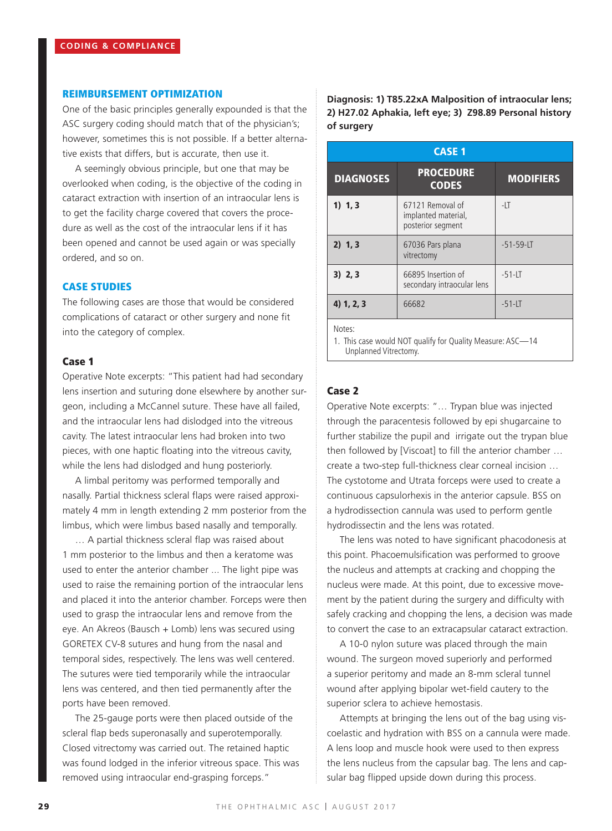#### REIMBURSEMENT OPTIMIZATION

One of the basic principles generally expounded is that the ASC surgery coding should match that of the physician's; however, sometimes this is not possible. If a better alternative exists that differs, but is accurate, then use it.

A seemingly obvious principle, but one that may be overlooked when coding, is the objective of the coding in cataract extraction with insertion of an intraocular lens is to get the facility charge covered that covers the procedure as well as the cost of the intraocular lens if it has been opened and cannot be used again or was specially ordered, and so on.

## CASE STUDIES

The following cases are those that would be considered complications of cataract or other surgery and none fit into the category of complex.

#### Case 1

Operative Note excerpts: "This patient had had secondary lens insertion and suturing done elsewhere by another surgeon, including a McCannel suture. These have all failed, and the intraocular lens had dislodged into the vitreous cavity. The latest intraocular lens had broken into two pieces, with one haptic floating into the vitreous cavity, while the lens had dislodged and hung posteriorly.

A limbal peritomy was performed temporally and nasally. Partial thickness scleral flaps were raised approximately 4 mm in length extending 2 mm posterior from the limbus, which were limbus based nasally and temporally.

… A partial thickness scleral flap was raised about 1 mm posterior to the limbus and then a keratome was used to enter the anterior chamber ... The light pipe was used to raise the remaining portion of the intraocular lens and placed it into the anterior chamber. Forceps were then used to grasp the intraocular lens and remove from the eye. An Akreos (Bausch + Lomb) lens was secured using GORETEX CV-8 sutures and hung from the nasal and temporal sides, respectively. The lens was well centered. The sutures were tied temporarily while the intraocular lens was centered, and then tied permanently after the ports have been removed.

The 25-gauge ports were then placed outside of the scleral flap beds superonasally and superotemporally. Closed vitrectomy was carried out. The retained haptic was found lodged in the inferior vitreous space. This was removed using intraocular end-grasping forceps."

**Diagnosis: 1) T85.22xA Malposition of intraocular lens; 2) H27.02 Aphakia, left eye; 3) Z98.89 Personal history of surgery**

| <b>CASE 1</b>    |                                                                                                                             |                  |
|------------------|-----------------------------------------------------------------------------------------------------------------------------|------------------|
| <b>DIAGNOSES</b> | <b>PROCEDURE</b><br><b>CODES</b>                                                                                            | <b>MODIFIERS</b> |
| 1) 1, 3          | 67121 Removal of<br>implanted material,<br>posterior segment                                                                | $-LT$            |
| 2) 1, 3          | 67036 Pars plana<br>vitrectomy                                                                                              | $-51 - 59 - LT$  |
| 3) 2, 3          | 66895 Insertion of<br>secondary intraocular lens                                                                            | $-51 - LT$       |
| 4) 1, 2, 3       | 66682                                                                                                                       | $-51 - LT$       |
| Notes:           | $\mathbf{u} \cdot \mathbf{v} = \mathbf{v} \cdot \mathbf{v}$ and $\mathbf{v} \cdot \mathbf{v} = \mathbf{v} \cdot \mathbf{v}$ |                  |

1. This case would NOT qualify for Quality Measure: ASC—14 Unplanned Vitrectomy.

#### Case 2

Operative Note excerpts: "… Trypan blue was injected through the paracentesis followed by epi shugarcaine to further stabilize the pupil and irrigate out the trypan blue then followed by [Viscoat] to fill the anterior chamber … create a two-step full-thickness clear corneal incision … The cystotome and Utrata forceps were used to create a continuous capsulorhexis in the anterior capsule. BSS on a hydrodissection cannula was used to perform gentle hydrodissectin and the lens was rotated.

The lens was noted to have significant phacodonesis at this point. Phacoemulsification was performed to groove the nucleus and attempts at cracking and chopping the nucleus were made. At this point, due to excessive movement by the patient during the surgery and difficulty with safely cracking and chopping the lens, a decision was made to convert the case to an extracapsular cataract extraction.

A 10-0 nylon suture was placed through the main wound. The surgeon moved superiorly and performed a superior peritomy and made an 8-mm scleral tunnel wound after applying bipolar wet-field cautery to the superior sclera to achieve hemostasis.

Attempts at bringing the lens out of the bag using viscoelastic and hydration with BSS on a cannula were made. A lens loop and muscle hook were used to then express the lens nucleus from the capsular bag. The lens and capsular bag flipped upside down during this process.